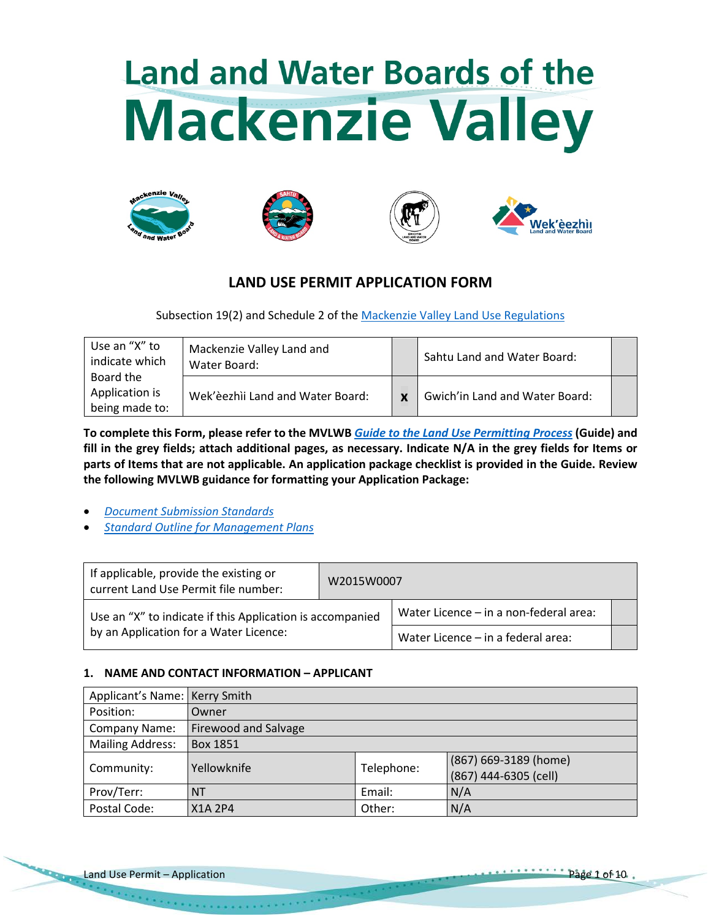# **Land and Water Boards of the Mackenzie Valley**









# **LAND USE PERMIT APPLICATION FORM**

Subsection 19(2) and Schedule 2 of the [Mackenzie Valley Land Use Regulations](http://laws-lois.justice.gc.ca/PDF/SOR-98-429.pdf)

| Use an "X" to<br>indicate which               | Mackenzie Valley Land and<br>Water Board: |              | Sahtu Land and Water Board:    |  |
|-----------------------------------------------|-------------------------------------------|--------------|--------------------------------|--|
| Board the<br>Application is<br>being made to: | Wek'èezhìi Land and Water Board:          | $\mathbf{v}$ | Gwich'in Land and Water Board: |  |

**To complete this Form, please refer to the MVLWB** *[Guide to the Land Use Permitting Process](https://wlwb.ca/sites/default/files/2021-08/LWB%20Guide%20to%20the%20Land%20Use%20Permitting%20Process%20-%20FINAL%20-%20Aug%2030_21.pdf)* **(Guide) and fill in the grey fields; attach additional pages, as necessary. Indicate N/A in the grey fields for Items or parts of Items that are not applicable. An application package checklist is provided in the Guide. Review the following MVLWB guidance for formatting your Application Package:**

- *[Document Submission Standards](https://wlwb.ca/sites/default/files/mvlwb_document_submission_standards_-_jan_2019.pdf)*
- *[Standard Outline for Management Plans](https://mvlwb.com/sites/default/files/2021-06/LWB%20Standard%20Outline%20for%20Management%20Plans%20-%20Approved%20-%20Jun%2010_21_0.pdf)*

| If applicable, provide the existing or<br>current Land Use Permit file number: | W2015W0007                             |                                    |  |  |
|--------------------------------------------------------------------------------|----------------------------------------|------------------------------------|--|--|
| Use an "X" to indicate if this Application is accompanied                      | Water Licence – in a non-federal area: |                                    |  |  |
| by an Application for a Water Licence:                                         |                                        | Water Licence - in a federal area: |  |  |

# **1. NAME AND CONTACT INFORMATION – APPLICANT**

| Applicant's Name: Kerry Smith |                      |            |                       |  |  |  |
|-------------------------------|----------------------|------------|-----------------------|--|--|--|
| Position:                     | Owner                |            |                       |  |  |  |
| Company Name:                 | Firewood and Salvage |            |                       |  |  |  |
| <b>Mailing Address:</b>       | Box 1851             |            |                       |  |  |  |
| Community:                    | Yellowknife          | Telephone: | (867) 669-3189 (home) |  |  |  |
|                               |                      |            | (867) 444-6305 (cell) |  |  |  |
| Prov/Terr:                    | <b>NT</b>            | Email:     | N/A                   |  |  |  |
| Postal Code:                  | X1A 2P4              | Other:     | N/A                   |  |  |  |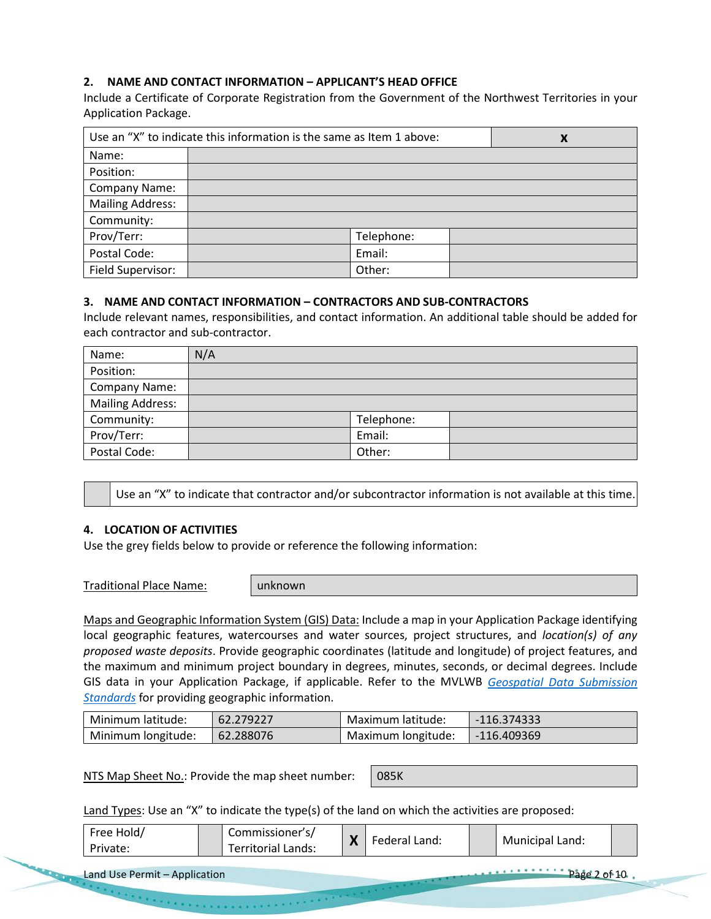# **2. NAME AND CONTACT INFORMATION – APPLICANT'S HEAD OFFICE**

Include a Certificate of Corporate Registration from the Government of the Northwest Territories in your Application Package.

| Use an "X" to indicate this information is the same as Item 1 above: | X          |  |
|----------------------------------------------------------------------|------------|--|
| Name:                                                                |            |  |
| Position:                                                            |            |  |
| Company Name:                                                        |            |  |
| <b>Mailing Address:</b>                                              |            |  |
| Community:                                                           |            |  |
| Prov/Terr:                                                           | Telephone: |  |
| Postal Code:                                                         | Email:     |  |
| Field Supervisor:                                                    | Other:     |  |

## **3. NAME AND CONTACT INFORMATION – CONTRACTORS AND SUB-CONTRACTORS**

Include relevant names, responsibilities, and contact information. An additional table should be added for each contractor and sub-contractor.

| Name:                   | N/A |            |  |
|-------------------------|-----|------------|--|
| Position:               |     |            |  |
| Company Name:           |     |            |  |
| <b>Mailing Address:</b> |     |            |  |
| Community:              |     | Telephone: |  |
| Prov/Terr:              |     | Email:     |  |
| Postal Code:            |     | Other:     |  |

Use an "X" to indicate that contractor and/or subcontractor information is not available at this time.

#### **4. LOCATION OF ACTIVITIES**

Use the grey fields below to provide or reference the following information:

Traditional Place Name: unknown

Maps and Geographic Information System (GIS) Data: Include a map in your Application Package identifying local geographic features, watercourses and water sources, project structures, and *location(s) of any proposed waste deposits*. Provide geographic coordinates (latitude and longitude) of project features, and the maximum and minimum project boundary in degrees, minutes, seconds, or decimal degrees. Include GIS data in your Application Package, if applicable. Refer to the MVLWB *[Geospatial Data Submission](https://mvlwb.com/sites/default/files/2021-07/Geospatial%20Data%20Submission%20Standards%20-%20Approved%20July%202021.pdf)  [Standards](https://mvlwb.com/sites/default/files/2021-07/Geospatial%20Data%20Submission%20Standards%20-%20Approved%20July%202021.pdf)* for providing geographic information.

| Minimum latitude:  | 62.279227 | Maximum latitude:  | $-116.374333$ |
|--------------------|-----------|--------------------|---------------|
| Minimum longitude: | 62.288076 | Maximum longitude: | -116.409369   |

NTS Map Sheet No.: Provide the map sheet number: | 085K

Land Types: Use an "X" to indicate the type(s) of the land on which the activities are proposed:

| Free Hold/ | Commissioner s/    | $\blacksquare$ | Federal Land: |                 |  |
|------------|--------------------|----------------|---------------|-----------------|--|
| Private:   | Territorial Lands: | 71             |               | Municipal Land: |  |

Land Use Permit – Application **Page 2 of 10** 

 $\mathcal{O}(1)$  and  $\mathcal{O}(1)$  is a maximum of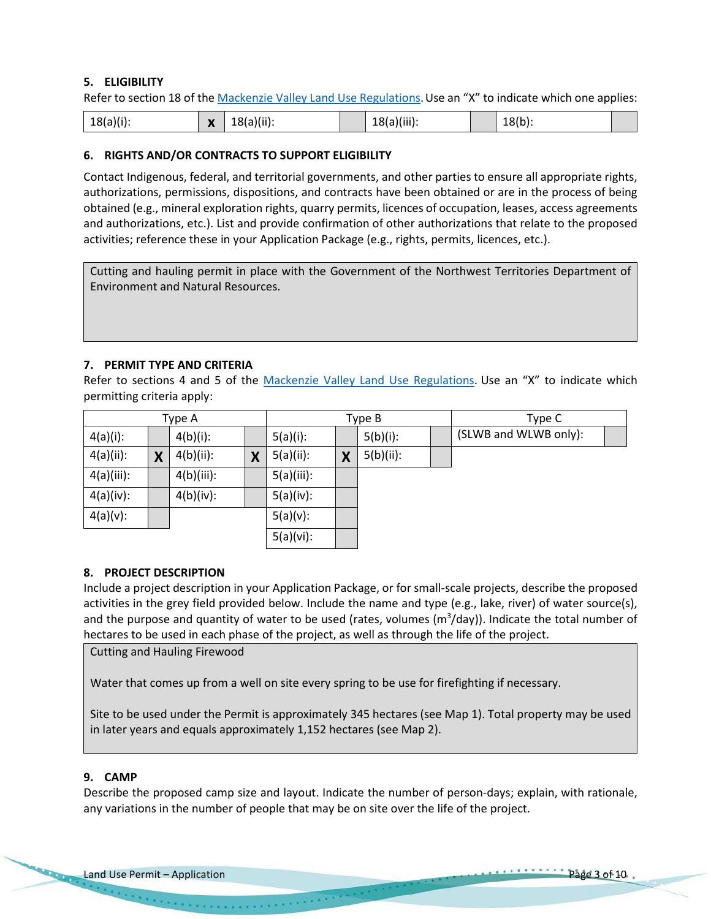# **5. ELIGIBILITY**

Refer to section 18 of the [Mackenzie Valley Land Use Regulations.](https://mvlwb.com/content/staff-directory-0) Use an "X" to indicate which one applies:

| $18(a)(ii)$ :<br>$18(a)(i)$ :<br>$\mathbf{v}$<br>$\mathbf{\Lambda}$ | Miii<br>'8(a)(III).<br>∸ | $18(b)$ : |  |
|---------------------------------------------------------------------|--------------------------|-----------|--|
|---------------------------------------------------------------------|--------------------------|-----------|--|

#### **6. RIGHTS AND/OR CONTRACTS TO SUPPORT ELIGIBILITY**

Contact Indigenous, federal, and territorial governments, and other parties to ensure all appropriate rights, authorizations, permissions, dispositions, and contracts have been obtained or are in the process of being obtained (e.g., mineral exploration rights, quarry permits, licences of occupation, leases, access agreements and authorizations, etc.). List and provide confirmation of other authorizations that relate to the proposed activities; reference these in your Application Package (e.g., rights, permits, licences, etc.).

Cutting and hauling permit in place with the Government of the Northwest Territories Department of Environment and Natural Resources.

#### **7. PERMIT TYPE AND CRITERIA**

Refer to sections 4 and 5 of the [Mackenzie Valley Land Use Regulations.](http://laws-lois.justice.gc.ca/PDF/SOR-98-429.pdf) Use an "X" to indicate which permitting criteria apply:

|              | Type A |              |   | Type B       |   |              | Type C |                       |  |
|--------------|--------|--------------|---|--------------|---|--------------|--------|-----------------------|--|
| $4(a)(i)$ :  |        | $4(b)(i)$ :  |   | $5(a)(i)$ :  |   | $5(b)(i)$ :  |        | (SLWB and WLWB only): |  |
| $4(a)(ii)$ : | X      | $4(b)(ii)$ : | Χ | $5(a)(ii)$ : | X | $5(b)(ii)$ : |        |                       |  |
| 4(a)(iii):   |        | 4(b)(iii):   |   | 5(a)(iii):   |   |              |        |                       |  |
| 4(a)(iv):    |        | $4(b)(iv)$ : |   | 5(a)(iv):    |   |              |        |                       |  |
| $4(a)(v)$ :  |        |              |   | $5(a)(v)$ :  |   |              |        |                       |  |
|              |        |              |   | 5(a)(vi):    |   |              |        |                       |  |

#### **8. PROJECT DESCRIPTION**

Include a project description in your Application Package, or for small-scale projects, describe the proposed activities in the grey field provided below. Include the name and type (e.g., lake, river) of water source(s), and the purpose and quantity of water to be used (rates, volumes (m<sup>3</sup>/day)). Indicate the total number of hectares to be used in each phase of the project, as well as through the life of the project.

Cutting and Hauling Firewood

Water that comes up from a well on site every spring to be use for firefighting if necessary.

Site to be used under the Permit is approximately 345 hectares (see Map 1). Total property may be used in later years and equals approximately 1,152 hectares (see Map 2).

#### **9. CAMP**

Describe the proposed camp size and layout. Indicate the number of person-days; explain, with rationale, any variations in the number of people that may be on site over the life of the project.

 $\mathcal{O}(n)$  is the set of the companion of  $\mathcal{O}(n)$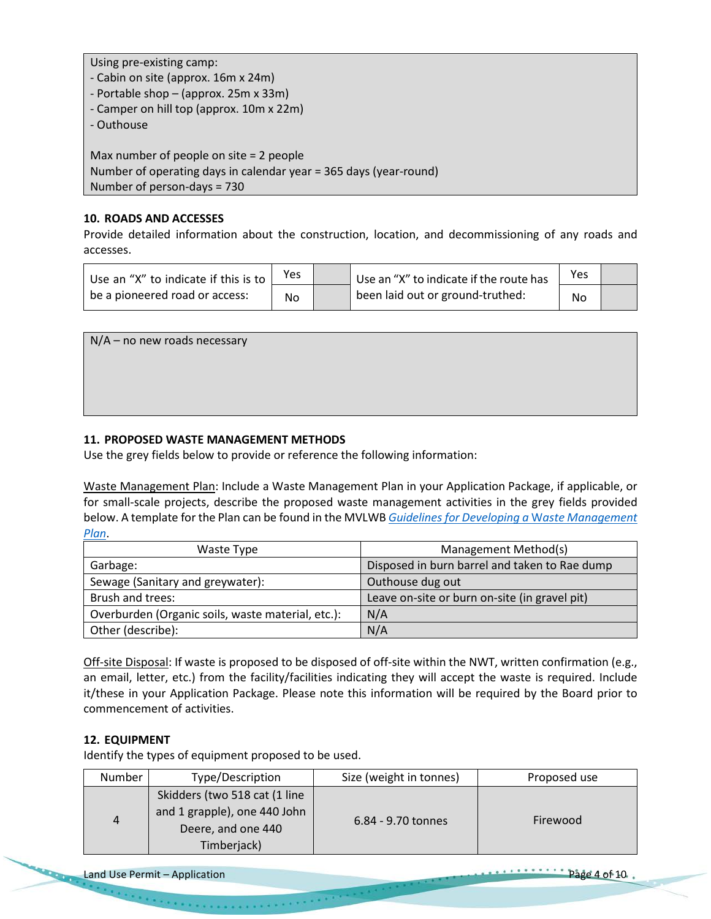Using pre-existing camp:

- Cabin on site (approx. 16m x 24m)
- Portable shop (approx. 25m x 33m)
- Camper on hill top (approx. 10m x 22m)
- Outhouse

Max number of people on site = 2 people Number of operating days in calendar year = 365 days (year-round) Number of person-days = 730

## **10. ROADS AND ACCESSES**

Provide detailed information about the construction, location, and decommissioning of any roads and accesses.

| Use an "X" to indicate if this is to $\frac{1}{2}$ | Yes | Use an "X" to indicate if the route has | Yes |  |
|----------------------------------------------------|-----|-----------------------------------------|-----|--|
| be a pioneered road or access:                     | No  | been laid out or ground-truthed:        | No  |  |

| $N/A$ – no new roads necessary |  |  |
|--------------------------------|--|--|
|                                |  |  |
|                                |  |  |
|                                |  |  |
|                                |  |  |
|                                |  |  |
|                                |  |  |

# **11. PROPOSED WASTE MANAGEMENT METHODS**

Use the grey fields below to provide or reference the following information:

Waste Management Plan: Include a Waste Management Plan in your Application Package, if applicable, or for small-scale projects, describe the proposed waste management activities in the grey fields provided below. A template for the Plan can be found in the MVLWB *[Guidelines for Developing a](https://mvlwb.com/sites/default/files/documents/MVLWB-Guidelines-for-Developing-a-Waste-Management-Plan-Mar-31_11-JCWG.pdf)* W*aste Management [Plan](https://mvlwb.com/sites/default/files/documents/MVLWB-Guidelines-for-Developing-a-Waste-Management-Plan-Mar-31_11-JCWG.pdf)*.

| Waste Type                                        | Management Method(s)                          |
|---------------------------------------------------|-----------------------------------------------|
| Garbage:                                          | Disposed in burn barrel and taken to Rae dump |
| Sewage (Sanitary and greywater):                  | Outhouse dug out                              |
| Brush and trees:                                  | Leave on-site or burn on-site (in gravel pit) |
| Overburden (Organic soils, waste material, etc.): | N/A                                           |
| Other (describe):                                 | N/A                                           |

Off-site Disposal: If waste is proposed to be disposed of off-site within the NWT, written confirmation (e.g., an email, letter, etc.) from the facility/facilities indicating they will accept the waste is required. Include it/these in your Application Package. Please note this information will be required by the Board prior to commencement of activities.

## **12. EQUIPMENT**

Identify the types of equipment proposed to be used.

| <b>Number</b> | Type/Description                                                                                    | Size (weight in tonnes) | Proposed use |
|---------------|-----------------------------------------------------------------------------------------------------|-------------------------|--------------|
| 4             | Skidders (two 518 cat (1 line)<br>and 1 grapple), one 440 John<br>Deere, and one 440<br>Timberjack) | 6.84 - 9.70 tonnes      | Firewood     |

the company's proposed and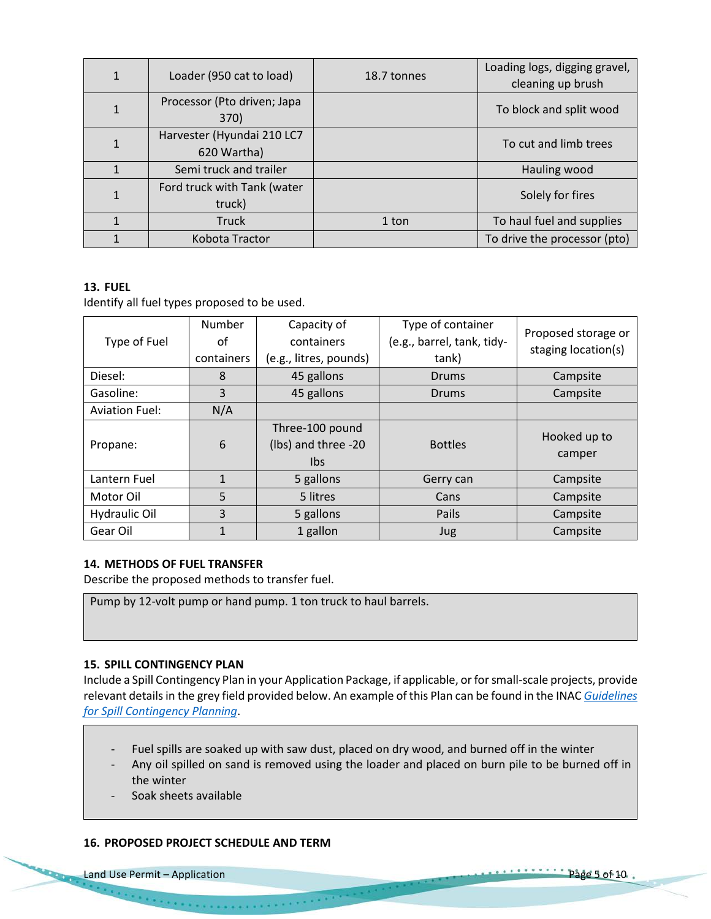| $\mathbf{1}$ | Loader (950 cat to load)                  | 18.7 tonnes | Loading logs, digging gravel,<br>cleaning up brush |
|--------------|-------------------------------------------|-------------|----------------------------------------------------|
| $\mathbf{1}$ | Processor (Pto driven; Japa<br>370)       |             | To block and split wood                            |
| 1            | Harvester (Hyundai 210 LC7<br>620 Wartha) |             | To cut and limb trees                              |
| $\mathbf{1}$ | Semi truck and trailer                    |             | Hauling wood                                       |
| $\mathbf{1}$ | Ford truck with Tank (water<br>truck)     |             | Solely for fires                                   |
| $\mathbf{1}$ | <b>Truck</b>                              | 1 ton       | To haul fuel and supplies                          |
|              | Kobota Tractor                            |             | To drive the processor (pto)                       |

## **13. FUEL**

Identify all fuel types proposed to be used.

| Type of Fuel          | Number<br>οf<br>containers | Capacity of<br>containers<br>(e.g., litres, pounds) | Type of container<br>(e.g., barrel, tank, tidy-<br>tank) | Proposed storage or<br>staging location(s) |
|-----------------------|----------------------------|-----------------------------------------------------|----------------------------------------------------------|--------------------------------------------|
| Diesel:               | 8                          | 45 gallons                                          | <b>Drums</b>                                             | Campsite                                   |
| Gasoline:             | 3                          | 45 gallons                                          | <b>Drums</b>                                             | Campsite                                   |
| <b>Aviation Fuel:</b> | N/A                        |                                                     |                                                          |                                            |
| Propane:              | 6                          | Three-100 pound<br>(lbs) and three -20<br>Ibs.      | <b>Bottles</b>                                           | Hooked up to<br>camper                     |
| Lantern Fuel          | $\mathbf{1}$               | 5 gallons                                           | Gerry can                                                | Campsite                                   |
| Motor Oil             | 5                          | 5 litres                                            | Cans                                                     | Campsite                                   |
| Hydraulic Oil         | 3                          | 5 gallons                                           | Pails                                                    | Campsite                                   |
| Gear Oil              | $\mathbf{1}$               | 1 gallon                                            | <b>Jug</b>                                               | Campsite                                   |

## **14. METHODS OF FUEL TRANSFER**

Describe the proposed methods to transfer fuel.

Pump by 12-volt pump or hand pump. 1 ton truck to haul barrels.

## **15. SPILL CONTINGENCY PLAN**

Include a Spill Contingency Plan in your Application Package, if applicable, or for small-scale projects, provide relevant details in the grey field provided below. An example of this Plan can be found in the INAC *[Guidelines](https://mvlwb.com/sites/default/files/guidelines_for_spill_contingency_planning_2007.pdf)  [for Spill Contingency Planning](https://mvlwb.com/sites/default/files/guidelines_for_spill_contingency_planning_2007.pdf)*.

- Fuel spills are soaked up with saw dust, placed on dry wood, and burned off in the winter
- Any oil spilled on sand is removed using the loader and placed on burn pile to be burned off in the winter
- Soak sheets available

## **16. PROPOSED PROJECT SCHEDULE AND TERM**

**Contract Construction**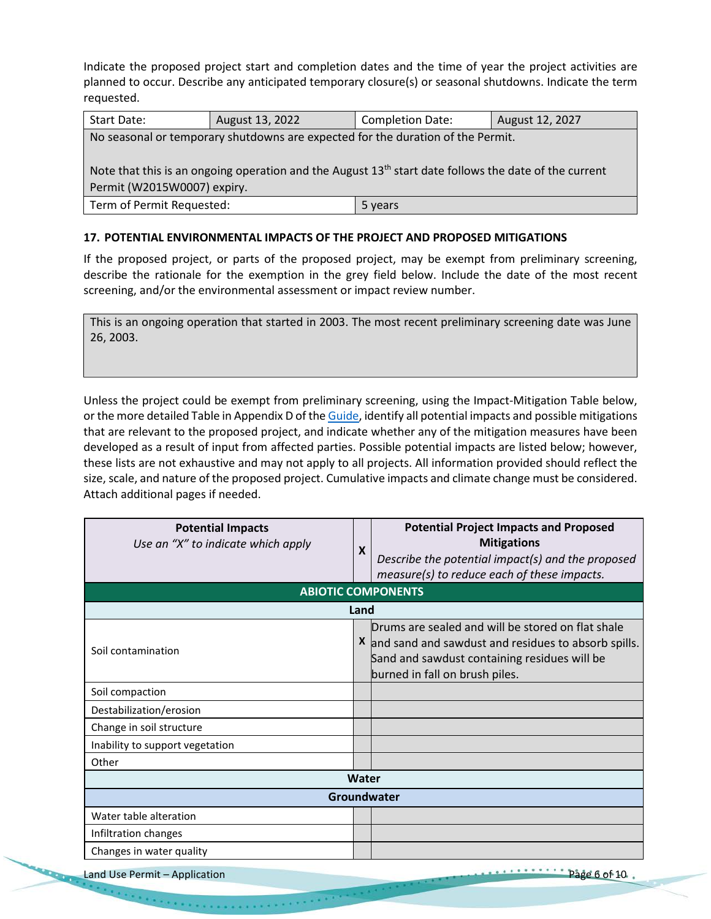Indicate the proposed project start and completion dates and the time of year the project activities are planned to occur. Describe any anticipated temporary closure(s) or seasonal shutdowns. Indicate the term requested.

| Start Date:                                                                                             | August 13, 2022 | <b>Completion Date:</b> | August 12, 2027 |  |  |  |
|---------------------------------------------------------------------------------------------------------|-----------------|-------------------------|-----------------|--|--|--|
| No seasonal or temporary shutdowns are expected for the duration of the Permit.                         |                 |                         |                 |  |  |  |
|                                                                                                         |                 |                         |                 |  |  |  |
| Note that this is an ongoing operation and the August $13th$ start date follows the date of the current |                 |                         |                 |  |  |  |
| Permit (W2015W0007) expiry.                                                                             |                 |                         |                 |  |  |  |
| Term of Permit Requested:                                                                               |                 | 5 years                 |                 |  |  |  |

## **17. POTENTIAL ENVIRONMENTAL IMPACTS OF THE PROJECT AND PROPOSED MITIGATIONS**

If the proposed project, or parts of the proposed project, may be exempt from preliminary screening, describe the rationale for the exemption in the grey field below. Include the date of the most recent screening, and/or the environmental assessment or impact review number.

This is an ongoing operation that started in 2003. The most recent preliminary screening date was June 26, 2003.

Unless the project could be exempt from preliminary screening, using the Impact-Mitigation Table below, or the more detailed Table in Appendix D of th[e Guide,](https://wlwb.ca/sites/default/files/2020-09/lwb_guide_to_the_land_use_permitting_process_-_final_-_sep_16_20.pdf) identify all potential impacts and possible mitigations that are relevant to the proposed project, and indicate whether any of the mitigation measures have been developed as a result of input from affected parties. Possible potential impacts are listed below; however, these lists are not exhaustive and may not apply to all projects. All information provided should reflect the size, scale, and nature of the proposed project. Cumulative impacts and climate change must be considered. Attach additional pages if needed.

| <b>Potential Impacts</b><br>Use an "X" to indicate which apply | $\boldsymbol{\mathsf{x}}$ | <b>Potential Project Impacts and Proposed</b><br><b>Mitigations</b><br>Describe the potential impact(s) and the proposed<br>measure(s) to reduce each of these impacts.                      |  |  |
|----------------------------------------------------------------|---------------------------|----------------------------------------------------------------------------------------------------------------------------------------------------------------------------------------------|--|--|
| <b>ABIOTIC COMPONENTS</b>                                      |                           |                                                                                                                                                                                              |  |  |
| Land                                                           |                           |                                                                                                                                                                                              |  |  |
| Soil contamination                                             |                           | Drums are sealed and will be stored on flat shale<br>X and sand and sawdust and residues to absorb spills.<br>Sand and sawdust containing residues will be<br>burned in fall on brush piles. |  |  |
| Soil compaction                                                |                           |                                                                                                                                                                                              |  |  |
| Destabilization/erosion                                        |                           |                                                                                                                                                                                              |  |  |
| Change in soil structure                                       |                           |                                                                                                                                                                                              |  |  |
| Inability to support vegetation                                |                           |                                                                                                                                                                                              |  |  |
| Other                                                          |                           |                                                                                                                                                                                              |  |  |
|                                                                | Water                     |                                                                                                                                                                                              |  |  |
|                                                                |                           | Groundwater                                                                                                                                                                                  |  |  |
| Water table alteration                                         |                           |                                                                                                                                                                                              |  |  |
| Infiltration changes                                           |                           |                                                                                                                                                                                              |  |  |
| Changes in water quality                                       |                           |                                                                                                                                                                                              |  |  |
| Land Use Permit - Application                                  |                           | Page 6 of 10.                                                                                                                                                                                |  |  |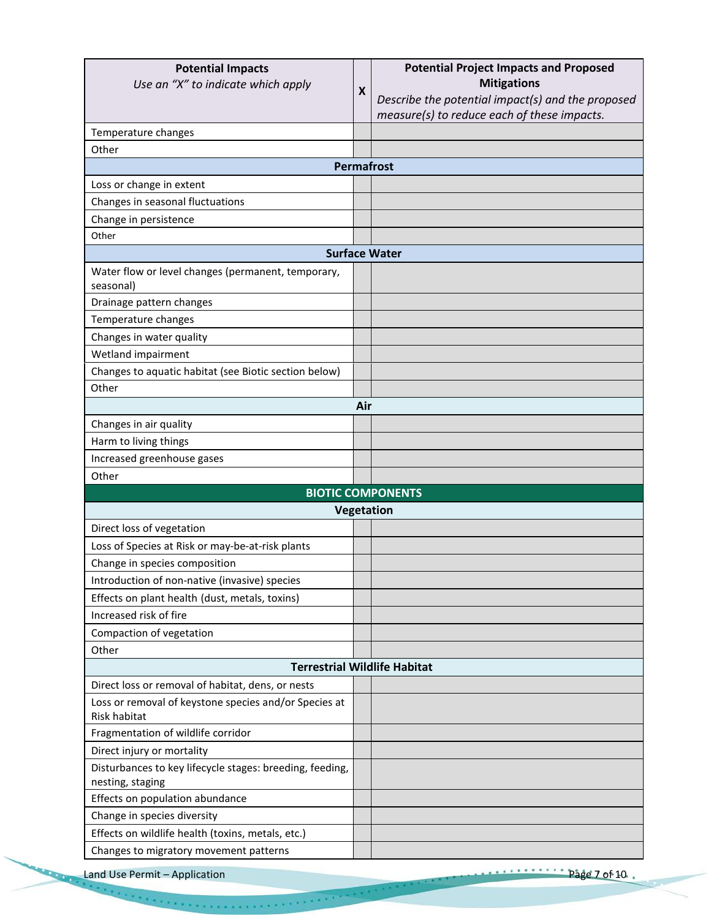|                                                                                                            |                  | <b>Potential Project Impacts and Proposed</b>     |
|------------------------------------------------------------------------------------------------------------|------------------|---------------------------------------------------|
| Use an "X" to indicate which apply                                                                         | $\boldsymbol{X}$ | <b>Mitigations</b>                                |
|                                                                                                            |                  | Describe the potential impact(s) and the proposed |
|                                                                                                            |                  | measure(s) to reduce each of these impacts.       |
| Temperature changes                                                                                        |                  |                                                   |
| Other                                                                                                      |                  |                                                   |
|                                                                                                            |                  | <b>Permafrost</b>                                 |
| Loss or change in extent                                                                                   |                  |                                                   |
| Changes in seasonal fluctuations                                                                           |                  |                                                   |
| Change in persistence                                                                                      |                  |                                                   |
| Other                                                                                                      |                  |                                                   |
|                                                                                                            |                  | <b>Surface Water</b>                              |
| Water flow or level changes (permanent, temporary,<br>seasonal)                                            |                  |                                                   |
| Drainage pattern changes                                                                                   |                  |                                                   |
| Temperature changes                                                                                        |                  |                                                   |
| Changes in water quality                                                                                   |                  |                                                   |
| Wetland impairment                                                                                         |                  |                                                   |
| Changes to aquatic habitat (see Biotic section below)                                                      |                  |                                                   |
| Other                                                                                                      |                  |                                                   |
|                                                                                                            | Air              |                                                   |
| Changes in air quality                                                                                     |                  |                                                   |
| Harm to living things                                                                                      |                  |                                                   |
| Increased greenhouse gases                                                                                 |                  |                                                   |
| Other                                                                                                      |                  |                                                   |
|                                                                                                            |                  | <b>BIOTIC COMPONENTS</b>                          |
|                                                                                                            |                  | Vegetation                                        |
| Direct loss of vegetation                                                                                  |                  |                                                   |
| Loss of Species at Risk or may-be-at-risk plants                                                           |                  |                                                   |
|                                                                                                            |                  |                                                   |
|                                                                                                            |                  |                                                   |
| Change in species composition                                                                              |                  |                                                   |
| Introduction of non-native (invasive) species                                                              |                  |                                                   |
| Effects on plant health (dust, metals, toxins)<br>Increased risk of fire                                   |                  |                                                   |
|                                                                                                            |                  |                                                   |
| Compaction of vegetation<br>Other                                                                          |                  |                                                   |
|                                                                                                            |                  |                                                   |
| <b>Terrestrial Wildlife Habitat</b>                                                                        |                  |                                                   |
| Direct loss or removal of habitat, dens, or nests<br>Loss or removal of keystone species and/or Species at |                  |                                                   |
| Risk habitat                                                                                               |                  |                                                   |
| Fragmentation of wildlife corridor<br>Direct injury or mortality                                           |                  |                                                   |
|                                                                                                            |                  |                                                   |
| Disturbances to key lifecycle stages: breeding, feeding,<br>nesting, staging                               |                  |                                                   |
| Effects on population abundance                                                                            |                  |                                                   |
| Change in species diversity                                                                                |                  |                                                   |
| Effects on wildlife health (toxins, metals, etc.)                                                          |                  |                                                   |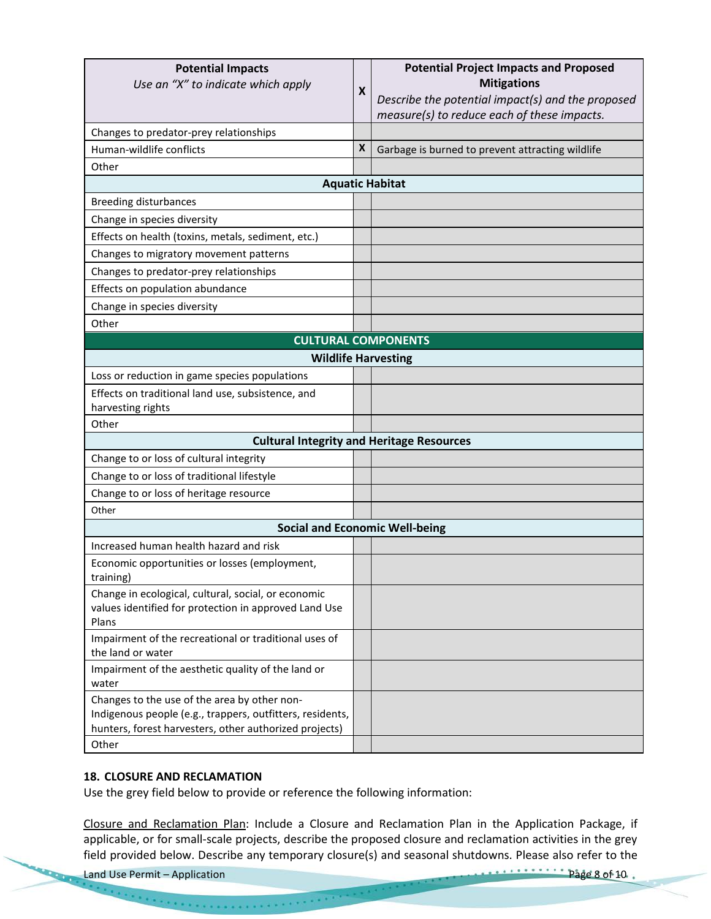| <b>Potential Impacts</b><br>Use an "X" to indicate which apply                                                                                                      | X                                                | <b>Potential Project Impacts and Proposed</b><br><b>Mitigations</b><br>Describe the potential impact(s) and the proposed<br>measure(s) to reduce each of these impacts. |  |  |  |
|---------------------------------------------------------------------------------------------------------------------------------------------------------------------|--------------------------------------------------|-------------------------------------------------------------------------------------------------------------------------------------------------------------------------|--|--|--|
| Changes to predator-prey relationships                                                                                                                              |                                                  |                                                                                                                                                                         |  |  |  |
| Human-wildlife conflicts                                                                                                                                            | X                                                | Garbage is burned to prevent attracting wildlife                                                                                                                        |  |  |  |
| Other                                                                                                                                                               |                                                  |                                                                                                                                                                         |  |  |  |
|                                                                                                                                                                     |                                                  | <b>Aquatic Habitat</b>                                                                                                                                                  |  |  |  |
| <b>Breeding disturbances</b>                                                                                                                                        |                                                  |                                                                                                                                                                         |  |  |  |
| Change in species diversity                                                                                                                                         |                                                  |                                                                                                                                                                         |  |  |  |
| Effects on health (toxins, metals, sediment, etc.)                                                                                                                  |                                                  |                                                                                                                                                                         |  |  |  |
| Changes to migratory movement patterns                                                                                                                              |                                                  |                                                                                                                                                                         |  |  |  |
| Changes to predator-prey relationships                                                                                                                              |                                                  |                                                                                                                                                                         |  |  |  |
| Effects on population abundance                                                                                                                                     |                                                  |                                                                                                                                                                         |  |  |  |
| Change in species diversity                                                                                                                                         |                                                  |                                                                                                                                                                         |  |  |  |
| Other                                                                                                                                                               |                                                  |                                                                                                                                                                         |  |  |  |
| <b>CULTURAL COMPONENTS</b>                                                                                                                                          |                                                  |                                                                                                                                                                         |  |  |  |
| <b>Wildlife Harvesting</b>                                                                                                                                          |                                                  |                                                                                                                                                                         |  |  |  |
| Loss or reduction in game species populations                                                                                                                       |                                                  |                                                                                                                                                                         |  |  |  |
| Effects on traditional land use, subsistence, and<br>harvesting rights                                                                                              |                                                  |                                                                                                                                                                         |  |  |  |
| Other                                                                                                                                                               |                                                  |                                                                                                                                                                         |  |  |  |
|                                                                                                                                                                     | <b>Cultural Integrity and Heritage Resources</b> |                                                                                                                                                                         |  |  |  |
| Change to or loss of cultural integrity                                                                                                                             |                                                  |                                                                                                                                                                         |  |  |  |
| Change to or loss of traditional lifestyle                                                                                                                          |                                                  |                                                                                                                                                                         |  |  |  |
| Change to or loss of heritage resource                                                                                                                              |                                                  |                                                                                                                                                                         |  |  |  |
| Other                                                                                                                                                               |                                                  |                                                                                                                                                                         |  |  |  |
| <b>Social and Economic Well-being</b>                                                                                                                               |                                                  |                                                                                                                                                                         |  |  |  |
| Increased human health hazard and risk                                                                                                                              |                                                  |                                                                                                                                                                         |  |  |  |
| Economic opportunities or losses (employment,<br>training)                                                                                                          |                                                  |                                                                                                                                                                         |  |  |  |
| Change in ecological, cultural, social, or economic<br>values identified for protection in approved Land Use<br>Plans                                               |                                                  |                                                                                                                                                                         |  |  |  |
| Impairment of the recreational or traditional uses of<br>the land or water                                                                                          |                                                  |                                                                                                                                                                         |  |  |  |
| Impairment of the aesthetic quality of the land or<br>water                                                                                                         |                                                  |                                                                                                                                                                         |  |  |  |
| Changes to the use of the area by other non-<br>Indigenous people (e.g., trappers, outfitters, residents,<br>hunters, forest harvesters, other authorized projects) |                                                  |                                                                                                                                                                         |  |  |  |
| Other                                                                                                                                                               |                                                  |                                                                                                                                                                         |  |  |  |

#### **18. CLOSURE AND RECLAMATION**

Use the grey field below to provide or reference the following information:

Closure and Reclamation Plan: Include a Closure and Reclamation Plan in the Application Package, if applicable, or for small-scale projects, describe the proposed closure and reclamation activities in the grey field provided below. Describe any temporary closure(s) and seasonal shutdowns. Please also refer to the

Land Use Permit – Application Page 8 of 10.

 $\sim 10^{11}$  and  $\sim 10^{11}$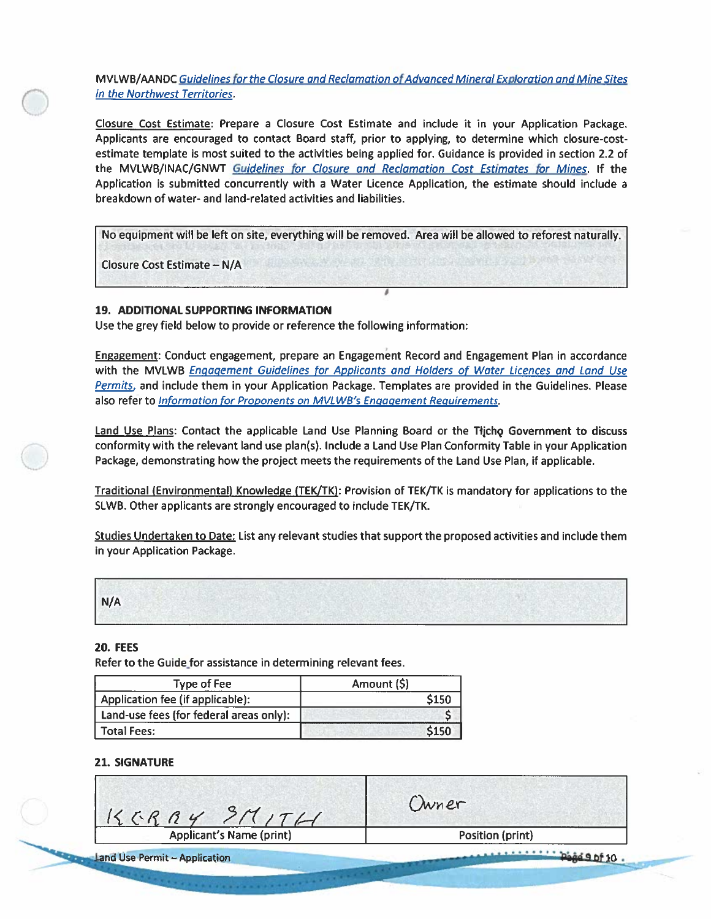MVLWB/AANDC Guidelines for the Closure and Reclamation of Advanced Mineral Exploration and Mine Sites in the Northwest Territories.

Closure Cost Estimate: Prepare a Closure Cost Estimate and include it in your Application Package. Applicants are encouraged to contact Board staff, prior to applying, to determine which closure-costestimate template is most suited to the activities being applied for. Guidance is provided in section 2.2 of the MVLWB/INAC/GNWT Guidelines for Closure and Reclamation Cost Estimates for Mines. If the Application is submitted concurrently with a Water Licence Application, the estimate should include a breakdown of water- and land-related activities and liabilities.

No equipment will be left on site, everything will be removed. Area will be allowed to reforest naturally. Closure Cost Estimate - N/A

#### 19. ADDITIONAL SUPPORTING INFORMATION

Use the grey field below to provide or reference the following information:

Engagement: Conduct engagement, prepare an Engagement Record and Engagement Plan in accordance with the MVLWB Engagement Guidelines for Applicants and Holders of Water Licences and Land Use Permits, and include them in your Application Package. Templates are provided in the Guidelines. Please also refer to *Information for Proponents on MVLWB's Engagement Requirements*.

Land Use Plans: Contact the applicable Land Use Planning Board or the Tijcho Government to discuss conformity with the relevant land use plan(s). Include a Land Use Plan Conformity Table in your Application Package, demonstrating how the project meets the requirements of the Land Use Plan, if applicable.

Traditional (Environmental) Knowledge (TEK/TK): Provision of TEK/TK is mandatory for applications to the SLWB. Other applicants are strongly encouraged to include TEK/TK.

Studies Undertaken to Date: List any relevant studies that support the proposed activities and include them in your Application Package.

|     | the second of the country control of the control of the control of the control of the control of the control of the control of the control of the control of the control of the control of the control of the control of the c |                   | come of the process of the second come of the second |
|-----|--------------------------------------------------------------------------------------------------------------------------------------------------------------------------------------------------------------------------------|-------------------|------------------------------------------------------|
| N/A |                                                                                                                                                                                                                                |                   |                                                      |
|     |                                                                                                                                                                                                                                |                   |                                                      |
|     |                                                                                                                                                                                                                                | ----------------- | ----------                                           |

#### **20. FEES**

Refer to the Guide for assistance in determining relevant fees.

| <b>Type of Fee</b>                      | Amount (\$) |
|-----------------------------------------|-------------|
| Application fee (if applicable):        | \$150       |
| Land-use fees (for federal areas only): |             |
| <b>Total Fees:</b>                      | \$150       |

#### **21. SIGNATURE**

| $KCRAY$ $3MITH$                 | Owner            |
|---------------------------------|------------------|
| <b>Applicant's Name (print)</b> | Position (print) |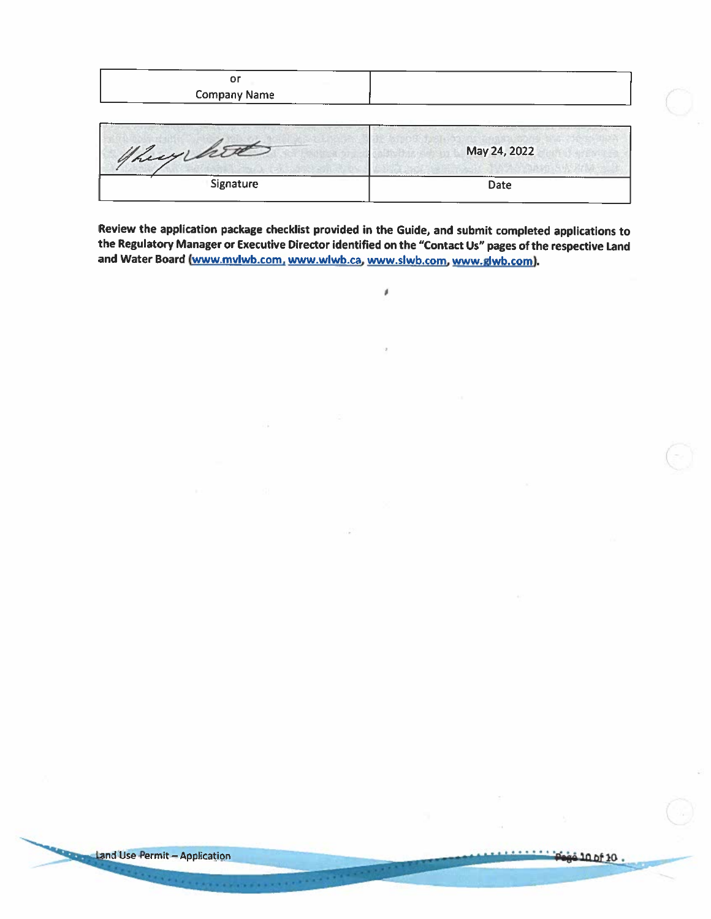| ~<br>ັ              | --- |
|---------------------|-----|
| <b>Company Name</b> |     |
|                     |     |

| they hit  | May 24, 2022        |
|-----------|---------------------|
| Signature | -----------<br>Date |

Review the application package checklist provided in the Guide, and submit completed applications to the Regulatory Manager or Executive Director identified on the "Contact Us" pages of the respective Land and Water Board (www.mvlwb.com, www.wlwb.ca, www.slwb.com, www.glwb.com).

ø

*<u>ALCOHO</u>*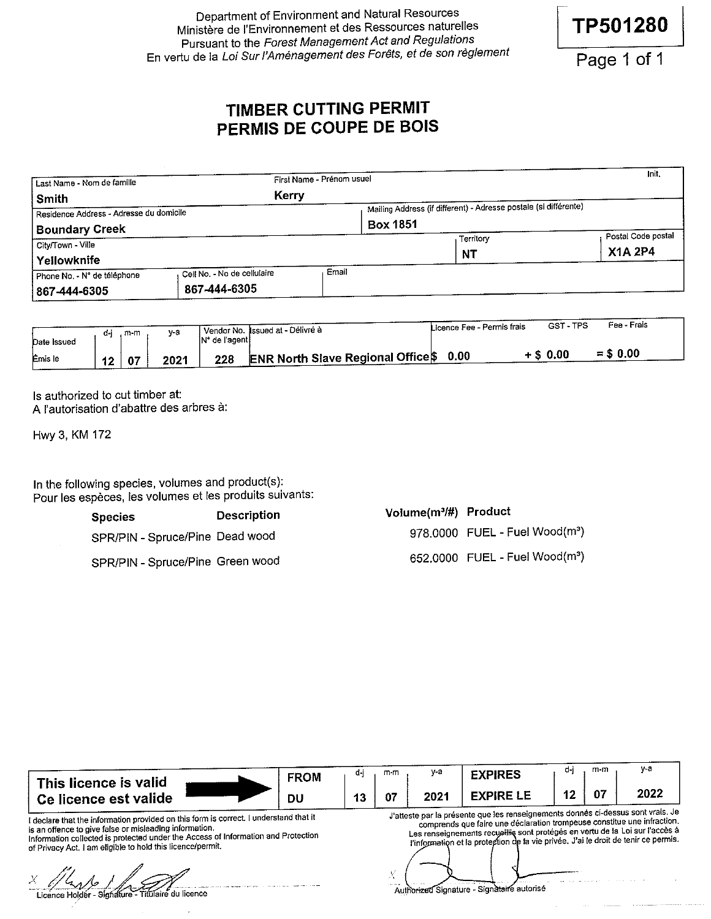Department of Environment and Natural Resources Ministère de l'Environnement et des Ressources naturelles Pursuant to the Forest Management Act and Regulations En vertu de la Loi Sur l'Aménagement des Forêts, et de son règlement

Page 1 of 1

TP501280

# TIMBER CUTTING PERMIT PERMIS DE COUPE DE BOIS

| Last Name - Nom de famille              |                             | First Name - Prénom usuel |                                                                  | Init.              |
|-----------------------------------------|-----------------------------|---------------------------|------------------------------------------------------------------|--------------------|
| Smith                                   | Kerry                       |                           |                                                                  |                    |
| Residence Address - Adresse du domicile |                             |                           | Mailing Address (if different) - Adresse postale (si différente) |                    |
| <b>Boundary Creek</b>                   |                             |                           | <b>Box 1851</b>                                                  |                    |
| City/Town - Ville                       |                             |                           | Territory                                                        | Postal Code postal |
| Yellowknife                             |                             |                           | <b>NT</b>                                                        | <b>X1A 2P4</b>     |
| Phone No. - N° de téléphone             | Cell No. - No de cellulaire | Email                     |                                                                  |                    |
| 867-444-6305                            | 867-444-6305                |                           |                                                                  |                    |

|             | d-i | m-m | у-а  |                 | l Vendor No. Issued at - Délivré à    | Licence Fee - Permis frais | GST-TPS     | Fee - Frais |
|-------------|-----|-----|------|-----------------|---------------------------------------|----------------------------|-------------|-------------|
| Date Issued |     |     |      | IN° de l'agenti |                                       |                            |             |             |
| Emis le     | 12  | 07  | 2021 | 228             | ∴⊾ ENR North Slave Regional Office \$ | 0.00                       | $+$ \$ 0.00 | $= $0.00$   |

Is authorized to cut timber at: A l'autorisation d'abattre des arbres à:

Hwy 3, KM 172

In the following species, volumes and product(s): Pour les espèces, les volumes et les produits suivants:

> **Description Species** SPR/PIN - Spruce/Pine Dead wood SPR/PIN - Spruce/Pine Green wood

| Volume(m <sup>3</sup> /#) Product |                                            |
|-----------------------------------|--------------------------------------------|
|                                   | 978,0000 FUEL - Fuel Wood(m <sup>3</sup> ) |
|                                   | 652,0000 FUEL - Fuel Wood(m <sup>3</sup> ) |

| This licence is valid                                                                                                                                                                                                                                                                              | <b>FROM</b> | ₫-I | m-m | y-a  | <b>EXPIRES</b>                                                                                                                                                                                                                                                                                                                    | d-i | m-m | y-a  |
|----------------------------------------------------------------------------------------------------------------------------------------------------------------------------------------------------------------------------------------------------------------------------------------------------|-------------|-----|-----|------|-----------------------------------------------------------------------------------------------------------------------------------------------------------------------------------------------------------------------------------------------------------------------------------------------------------------------------------|-----|-----|------|
| Ce licence est valide                                                                                                                                                                                                                                                                              | DU          | 13  | -07 | 2021 | <b>EXPIRE LE</b>                                                                                                                                                                                                                                                                                                                  | 12  |     | 2022 |
| I declare that the information provided on this form is correct. I understand that it<br>is an offence to give false or misleading information.<br>Information collected is protected under the Access of Information and Protection<br>of Privacy Act. I am eligible to hold this licence/permit. |             |     |     |      | J'atteste par la présente que les renseignements donnés ci-dessus sont vrais. Je<br>comprends que faire une déclaration trompeuse constitue une infraction.<br>Les renseignements recueillis sont protégés en vertu de la Loi sur l'accès à<br>l'information et la protection de la vie privée. J'ai le droit de tenir ce permis. |     |     |      |
| Licence Holder - Signature - Titulaire du licence                                                                                                                                                                                                                                                  |             |     |     |      | forized Signature - Signataire autorise                                                                                                                                                                                                                                                                                           |     |     |      |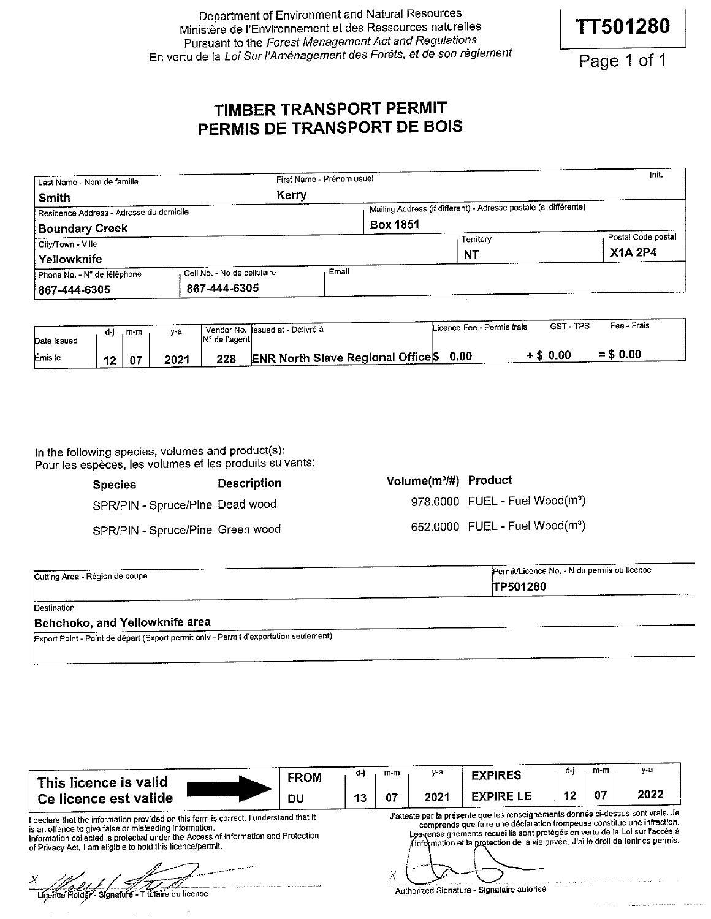Department of Environment and Natural Resources Ministère de l'Environnement et des Ressources naturelles Pursuant to the Forest Management Act and Regulations En vertu de la Loi Sur l'Aménagement des Forêts, et de son règlement

Page 1 of 1

**TT501280** 

# TIMBER TRANSPORT PERMIT PERMIS DE TRANSPORT DE BOIS

|                                         |       |                           | Init.                                                                               |
|-----------------------------------------|-------|---------------------------|-------------------------------------------------------------------------------------|
| Kerry                                   |       |                           |                                                                                     |
| Residence Address - Adresse du domicile |       |                           |                                                                                     |
|                                         |       |                           |                                                                                     |
|                                         |       | Territory                 | Postal Code postal                                                                  |
|                                         |       | <b>NT</b>                 | <b>X1A 2P4</b>                                                                      |
| Cell No. - No de cellulaire             | Email |                           |                                                                                     |
| 867-444-6305                            |       |                           |                                                                                     |
|                                         |       | First Name - Prénom usuel | Mailing Address (if different) - Adresse postale (si différente)<br><b>Box 1851</b> |

|                | d-i | m-m | v-a  | IN° de l'aqenti | Vendor No. Issued at - Délivre à  | Licence Fee - Permis frais | GST-TPS     | Fee - Frais |
|----------------|-----|-----|------|-----------------|-----------------------------------|----------------------------|-------------|-------------|
| Date Issued    |     |     |      |                 |                                   |                            |             |             |
| <b>Émis</b> le | 12  |     | 2021 | 228             | ENR North Slave Regional Office\$ | 0.00                       | $+$ \$ 0.00 | $=$ \$ 0.00 |

In the following species, volumes and product(s): Pour les espèces, les volumes et les produits suivants:

| <b>Species</b>                   | <b>Description</b> | Volume |
|----------------------------------|--------------------|--------|
| SPR/PIN - Spruce/Pine Dead wood  |                    | 978    |
| SPR/PIN - Spruce/Pine Green wood |                    | 652    |

| Volume(m3/#) Product |                                            |
|----------------------|--------------------------------------------|
|                      | 978.0000 FUEL - Fuel Wood(m <sup>3</sup> ) |
|                      | 652,0000 FUEL - Fuel Wood(m <sup>3</sup> ) |

| Cutting Area - Région de coupe | Permit/Licence No. - N du permis ou licence |
|--------------------------------|---------------------------------------------|
|                                | TP501280                                    |

Destination

#### Behchoko, and Yellowknife area

Export Point - Point de départ (Export permit only - Permit d'exportation seulement)

| This licence is valid | <b>FROM</b> | m-m | $v-a$            | <b>EXPIRES</b>   | m-m | v-a                                                                                                             |
|-----------------------|-------------|-----|------------------|------------------|-----|-----------------------------------------------------------------------------------------------------------------|
| Ce licence est valide | DU          | 07  | 202 <sup>.</sup> | <b>EXPIRE LE</b> |     | 2022                                                                                                            |
|                       |             |     |                  |                  |     | the first dependence of the first state of the state of the state of the state of the state of the state of the |

I declare that the information provided on this form is correct. I understand that it<br>is an offence to give false or misleading information.<br>Information collected is protected under the Access of Information and Protection

of Privacy Act. I am eligible to hold this licence/permit.

Signatufe - Titulaire du licence Lícenco Hold

J'atteste par la présente que les renseignements donnés ci-dessus sont vrais. Je comprends que faire une déclaration trompeuse constitue une infraction. es renseignements recueillis sont protégés en vertu de la Loi sur l'accès à information et la protection de la vie privée. J'ai le droit de tenir ce permis. Χ

Authorized Signature - Signataire autorise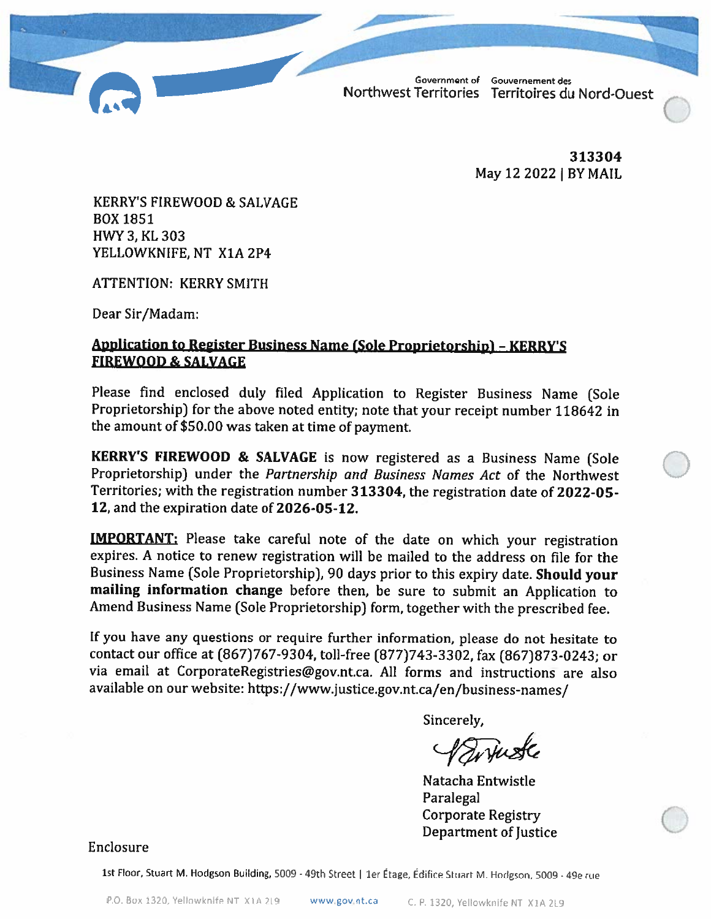

313304 May 12 2022 | BY MAIL

**KERRY'S FIREWOOD & SALVAGE BOX 1851** HWY 3, KL 303 YELLOWKNIFE, NT X1A 2P4

**ATTENTION: KERRY SMITH** 

Dear Sir/Madam:

# **Application to Register Business Name (Sole Proprietorship) - KERRY'S FIREWOOD & SALVAGE**

Please find enclosed duly filed Application to Register Business Name (Sole Proprietorship) for the above noted entity; note that your receipt number 118642 in the amount of \$50.00 was taken at time of payment.

**KERRY'S FIREWOOD & SALVAGE** is now registered as a Business Name (Sole Proprietorship) under the Partnership and Business Names Act of the Northwest Territories; with the registration number 313304, the registration date of 2022-05-12, and the expiration date of 2026-05-12.

**IMPORTANT:** Please take careful note of the date on which your registration expires. A notice to renew registration will be mailed to the address on file for the Business Name (Sole Proprietorship), 90 days prior to this expiry date. Should your mailing information change before then, be sure to submit an Application to Amend Business Name (Sole Proprietorship) form, together with the prescribed fee.

If you have any questions or require further information, please do not hesitate to contact our office at (867)767-9304, toll-free (877)743-3302, fax (867)873-0243; or via email at CorporateRegistries@gov.nt.ca. All forms and instructions are also available on our website: https://www.justice.gov.nt.ca/en/business-names/

Sincerely,

Syriuste

Natacha Entwistle Paralegal **Corporate Registry Department of Justice** 

Enclosure

1st Floor, Stuart M. Hodgson Building, 5009 - 49th Street | 1er Étage, Édifice Stuart M. Hodgson, 5009 - 49e rue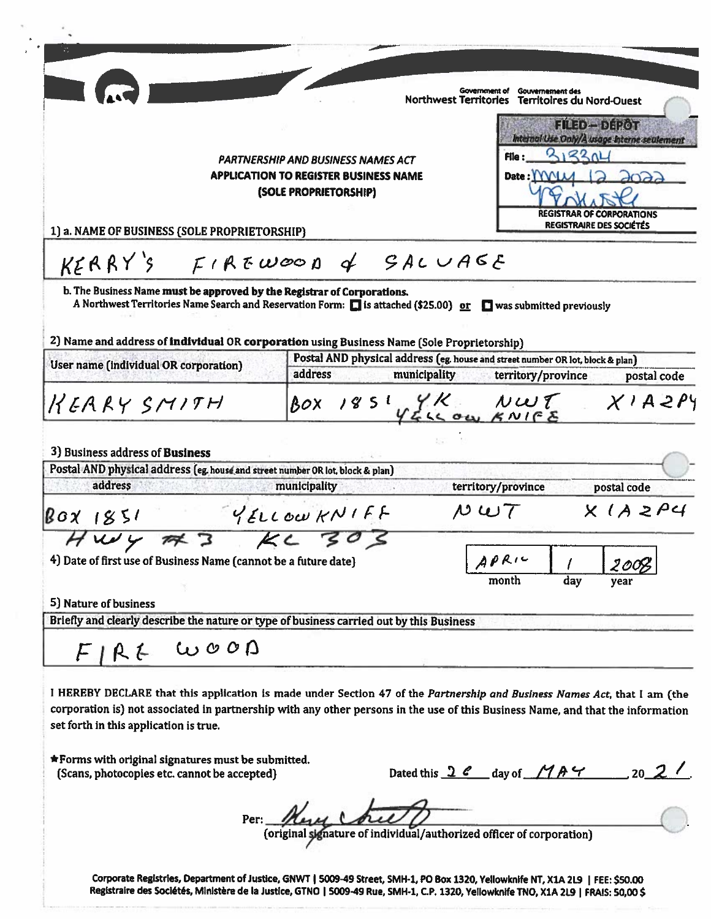|                                                                                          | <b>Government of</b><br><b>Gouvernement des</b><br>Northwest Territories Territoires du Nord-Ouest                                                                                                                                                           |
|------------------------------------------------------------------------------------------|--------------------------------------------------------------------------------------------------------------------------------------------------------------------------------------------------------------------------------------------------------------|
|                                                                                          | FILED-DEROT                                                                                                                                                                                                                                                  |
|                                                                                          | Internal Use Only/A usage Interne sealement                                                                                                                                                                                                                  |
|                                                                                          | 21321<br>File:<br>PARTNERSHIP AND BUSINESS NAMES ACT                                                                                                                                                                                                         |
|                                                                                          | <b>APPLICATION TO REGISTER BUSINESS NAME</b><br>Date: IYVIM<br>$\partial$ 022                                                                                                                                                                                |
|                                                                                          | (SOLE PROPRIETORSHIP)                                                                                                                                                                                                                                        |
|                                                                                          | <b>REGISTRAR OF CORPORATIONS</b><br><b>REGISTRAIRE DES SOCIÉTÉS</b>                                                                                                                                                                                          |
| 1) a. NAME OF BUSINESS (SOLE PROPRIETORSHIP)                                             |                                                                                                                                                                                                                                                              |
|                                                                                          | $KERRY'S$ FIREWOOD of SALUAGE                                                                                                                                                                                                                                |
| b. The Business Name must be approved by the Registrar of Corporations.                  | A Northwest Territories Name Search and Reservation Form: 1 is attached (\$25.00) or 1 was submitted previously                                                                                                                                              |
|                                                                                          |                                                                                                                                                                                                                                                              |
|                                                                                          | 2) Name and address of individual OR corporation using Business Name (Sole Proprietorship)                                                                                                                                                                   |
| User name (individual OR corporation)                                                    | Postal AND physical address (eg. house and street number OR lot, block & plan)                                                                                                                                                                               |
|                                                                                          | address<br>municipality<br>territory/province<br>postal code                                                                                                                                                                                                 |
| KEARY SMITH                                                                              | BOX 1851 YELL OW KNIFE XIAZPY                                                                                                                                                                                                                                |
|                                                                                          |                                                                                                                                                                                                                                                              |
| 3) Business address of <b>Business</b>                                                   |                                                                                                                                                                                                                                                              |
| Postal AND physical address (eg. house and street number OR lot, block & plan)           |                                                                                                                                                                                                                                                              |
| address                                                                                  | municipality<br>territory/province<br>postal code                                                                                                                                                                                                            |
| BOX 1851                                                                                 | X(AZP4<br>MWT<br>YELLOWKNIFF                                                                                                                                                                                                                                 |
| 773<br>KC<br>$uv =$                                                                      |                                                                                                                                                                                                                                                              |
| 4) Date of first use of Business Name (cannot be a future date)                          | APR1C                                                                                                                                                                                                                                                        |
|                                                                                          | month<br>day<br>vear                                                                                                                                                                                                                                         |
| 5) Nature of business                                                                    |                                                                                                                                                                                                                                                              |
| Briefly and clearly describe the nature or type of business carried out by this Business |                                                                                                                                                                                                                                                              |
| $FIRL$ WOOD                                                                              |                                                                                                                                                                                                                                                              |
|                                                                                          |                                                                                                                                                                                                                                                              |
|                                                                                          | I HEREBY DECLARE that this application is made under Section 47 of the Partnership and Business Names Act, that I am (the<br>corporation is) not associated in partnership with any other persons in the use of this Business Name, and that the information |
| set forth in this application is true.                                                   |                                                                                                                                                                                                                                                              |
|                                                                                          |                                                                                                                                                                                                                                                              |
| <b>*Forms with original signatures must be submitted.</b>                                |                                                                                                                                                                                                                                                              |
| (Scans, photocopies etc. cannot be accepted)                                             | Dated this $2e$ day of $MAP$                                                                                                                                                                                                                                 |
|                                                                                          |                                                                                                                                                                                                                                                              |
|                                                                                          |                                                                                                                                                                                                                                                              |
|                                                                                          | Per: Merel Collect Law Collection (original sympature of individual/authorized officer of corporation)                                                                                                                                                       |
|                                                                                          |                                                                                                                                                                                                                                                              |
|                                                                                          | Corporate Registries, Department of Justice, GNWT   5009-49 Street, SMH-1, PO Box 1320, Yellowknife NT, X1A 2L9   FEE: \$50.00                                                                                                                               |
|                                                                                          | Registraire des Sociétés, Ministère de la Justice, GTNO   S009-49 Rue, SMH-1, C.P. 1320, Yellowknife TNO, X1A 2L9   FRAIS: 50,00\$                                                                                                                           |